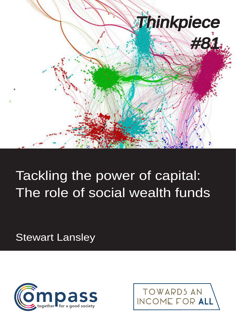

# Tackling the power of capital: The role of social wealth funds

Stewart Lansley



TOWARDS AN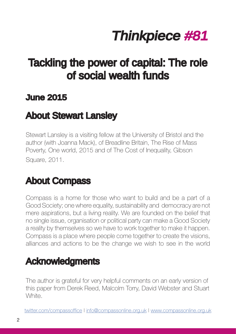# Thinkpiece #81

## Tackling the power of capital: The role of social wealth funds

### June 2015

## About Stewart Lansley

Stewart Lansley is a visiting fellow at the University of Bristol and the author (with Joanna Mack), of Breadline Britain, The Rise of Mass Poverty, One world, 2015 and of The Cost of Inequality, Gibson Square, 2011.

## About Compass

Compass is a home for those who want to build and be a part of a Good Society; one where equality, sustainability and democracy are not mere aspirations, but a living reality. We are founded on the belief that no single issue, organisation or political party can make a Good Society a reality by themselves so we have to work together to make it happen. Compass is a place where people come together to create the visions, alliances and actions to be the change we wish to see in the world

## Acknowledgments

The author is grateful for very helpful comments on an early version of this paper from Derek Reed, Malcolm Torry, David Webster and Stuart White.

twitter.com/compassoffice | info@compassonline.org.uk | www.compassonline.org.uk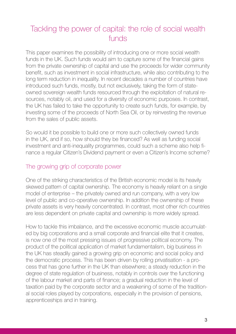### Tackling the power of capital: the role of social wealth funds

This paper examines the possibility of introducing one or more social wealth funds in the UK. Such funds would aim to capture some of the financial gains from the private ownership of capital and use the proceeds for wider community benefit, such as investment in social infrastructure, while also contributing to the long term reduction in inequality. In recent decades a number of countries have introduced such funds, mostly, but not exclusively, taking the form of stateowned sovereign wealth funds resourced through the exploitation of natural resources, notably oil, and used for a diversity of economic purposes. In contrast, the UK has failed to take the opportunity to create such funds, for example, by investing some of the proceeds of North Sea Oil, or by reinvesting the revenue from the sales of public assets.

So would it be possible to build one or more such collectively owned funds in the UK, and if so, how should they be financed? As well as funding social investment and anti-inequality programmes, could such a scheme also help finance a regular Citizen's Dividend payment or even a Citizen's Income scheme?

#### The growing grip of corporate power

One of the striking characteristics of the British economic model is its heavily skewed pattern of capital ownership. The economy is heavily reliant on a single model of enterprise – the privately owned and run company, with a very low level of public and co-operative ownership. In addition the ownership of these private assets is very heavily concentrated. In contrast, most other rich countries are less dependent on private capital and ownership is more widely spread.

How to tackle this imbalance, and the excessive economic muscle accumulated by big corporations and a small corporate and financial elite that it creates, is now one of the most pressing issues of progressive political economy. The product of the political application of market fundamentalism, big business in the UK has steadily gained a growing grip on economic and social policy and the democratic process. This has been driven by rolling privatisation - a process that has gone further in the UK than elsewhere; a steady reduction in the degree of state regulation of business, notably in controls over the functioning of the labour market and parts of finance; a gradual reduction in the level of taxation paid by the corporate sector and a weakening of some of the traditional social roles played by corporations, especially in the provision of pensions, apprenticeships and in training.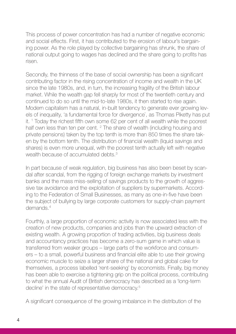This process of power concentration has had a number of negative economic and social effects. First, it has contributed to the erosion of labour's bargaining power. As the role played by collective bargaining has shrunk, the share of national output going to wages has declined and the share going to profits has risen.

Secondly, the thinness of the base of social ownership has been a significant contributing factor in the rising concentration of income and wealth in the UK since the late 1980s, and, in turn, the increasing fragility of the British labour market. While the wealth gap fell sharply for most of the twentieth century and continued to do so until the mid-to-late 1980s, it then started to rise again. Modern capitalism has a natural, in-built tendency to generate ever growing levels of inequality, 'a fundamental force for divergence`, as Thomas Piketty has put it. 1 Today the richest fifth own some 62 per cent of all wealth while the poorest half own less than ten per cent. <sup>2</sup> The share of wealth (including housing and private pensions) taken by the top tenth is more than 850 times the share taken by the bottom tenth. The distribution of financial wealth (liquid savings and shares) is even more unequal, with the poorest tenth actually left with negative wealth because of accumulated debts.<sup>3</sup>

In part because of weak regulation, big business has also been beset by scandal after scandal, from the rigging of foreign exchange markets by investment banks and the mass miss-selling of savings products to the growth of aggressive tax avoidance and the exploitation of suppliers by supermarkets. According to the Federation of Small Businesses, as many as one-in-five have been the subject of bullying by large corporate customers for supply-chain payment demands<sup>4</sup>

Fourthly, a large proportion of economic activity is now associated less with the creation of new products, companies and jobs than the upward extraction of existing wealth. A growing proportion of trading activities, big business deals and accountancy practices has become a zero-sum game in which value is transferred from weaker groups – large parts of the workforce and consumers – to a small, powerful business and financial elite able to use their growing economic muscle to seize a larger share of the national and global cake for themselves, a process labelled 'rent-seeking' by economists. Finally, big money has been able to exercise a tightening grip on the political process, contributing to what the annual Audit of British democracy has described as a 'long-term decline' in the state of representative democracy.<sup>5</sup>

A significant consequence of the growing imbalance in the distribution of the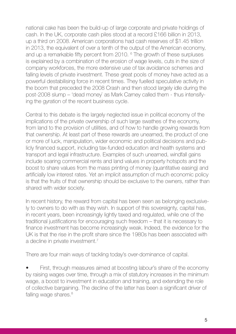national cake has been the build-up of large corporate and private holdings of cash. In the UK, corporate cash piles stood at a record £166 billion in 2013, up a third on 2008. American corporations had cash reserves of \$1.45 trillion in 2013, the equivalent of over a tenth of the output of the American economy, and up a remarkable fifty percent from 2010. <sup>6</sup> The growth of these surpluses is explained by a combination of the erosion of wage levels, cuts in the size of company workforces, the more extensive use of tax avoidance schemes and falling levels of private investment. These great pools of money have acted as a powerful destabilising force in recent times. They fuelled speculative activity in the boom that preceded the 2008 Crash and then stood largely idle during the post-2008 slump – 'dead money` as Mark Carney called them - thus intensifying the gyration of the recent business cycle.

Central to this debate is the largely neglected issue in political economy of the implications of the private ownership of such large swathes of the economy, from land to the provision of utilities, and of how to handle growing rewards from that ownership. At least part of these rewards are unearned, the product of one or more of luck, manipulation, wider economic and political decisions and publicly financed support, including tax-funded education and health systems and transport and legal infrastructure. Examples of such unearned, windfall gains include soaring commercial rents and land values in property hotspots and the boost to share values from the mass printing of money (quantitative easing) and artificially low interest rates. Yet an implicit assumption of much economic policy is that the fruits of that ownership should be exclusive to the owners, rather than shared with wider society.

In recent history, the reward from capital has been seen as belonging exclusively to owners to do with as they wish. In support of this sovereignty, capital has, in recent years, been increasingly lightly taxed and regulated, while one of the traditional justifications for encouraging such freedom – that it is necessary to finance investment has become increasingly weak. Indeed, the evidence for the UK is that the rise in the profit share since the 1980s has been associated with a decline in private investment.<sup>7</sup>

There are four main ways of tackling today's over-dominance of capital.

• First, through measures aimed at boosting labour's share of the economy by raising wages over time, through a mix of statutory increases in the minimum wage, a boost to investment in education and training, and extending the role of collective bargaining. The decline of the latter has been a significant driver of falling wage shares.<sup>8</sup>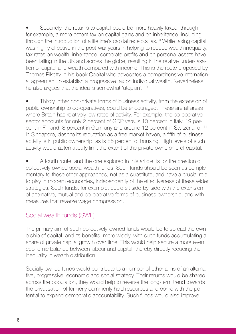Secondly, the returns to capital could be more heavily taxed, through, for example, a more potent tax on capital gains and on inheritance, including through the introduction of a lifetime's capital receipts tax. <sup>9</sup> While taxing capital was highly effective in the post-war years in helping to reduce wealth inequality, tax rates on wealth, inheritance, corporate profits and on personal assets have been falling in the UK and across the globe, resulting in the relative under-taxation of capital and wealth compared with income. This is the route proposed by Thomas Piketty in his book Capital who advocates a comprehensive international agreement to establish a progressive tax on individual wealth. Nevertheless he also argues that the idea is somewhat 'utopian`. 10

• Thirdly, other non-private forms of business activity, from the extension of public ownership to co-operatives, could be encouraged. These are all areas where Britain has relatively low rates of activity. For example, the co-operative sector accounts for only 2 percent of GDP versus 10 percent in Italy, 19 percent in Finland, 8 percent in Germany and around 12 percent in Switzerland. 11 In Singapore, despite its reputation as a free market haven, a fifth of business activity is in public ownership, as is 85 percent of housing. High levels of such activity would automatically limit the extent of the private ownership of capital.

• A fourth route, and the one explored in this article, is for the creation of collectively owned social wealth funds. Such funds should be seen as complementary to these other approaches, not as a substitute, and have a crucial role to play in modern economies, independently of the effectiveness of these wider strategies. Such funds, for example, could sit side-by-side with the extension of alternative, mutual and co-operative forms of business ownership, and with measures that reverse wage compression.

#### Social wealth funds (SWF)

The primary aim of such collectively-owned funds would be to spread the ownership of capital, and its benefits, more widely, with such funds accumulating a share of private capital growth over time. This would help secure a more even economic balance between labour and capital, thereby directly reducing the inequality in wealth distribution.

Socially owned funds would contribute to a number of other aims of an alternative, progressive, economic and social strategy. Their returns would be shared across the population, they would help to reverse the long-term trend towards the privatisation of formerly commonly held resources and come with the potential to expand democratic accountability. Such funds would also improve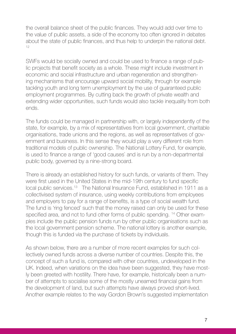the overall balance sheet of the public finances. They would add over time to the value of public assets, a side of the economy too often ignored in debates about the state of public finances, and thus help to underpin the national debt. 12

SWFs would be socially owned and could be used to finance a range of public projects that benefit society as a whole. These might include investment in economic and social infrastructure and urban regeneration and strengthening mechanisms that encourage upward social mobility, through for example tackling youth and long term unemployment by the use of guaranteed public employment programmes. By cutting back the growth of private wealth and extending wider opportunities, such funds would also tackle inequality from both ends.

The funds could be managed in partnership with, or largely independently of the state, for example, by a mix of representatives from local government, charitable organisations, trade unions and the regions, as well as representatives of government and business. In this sense they would play a very different role from traditional models of public ownership. The National Lottery Fund, for example, is used to finance a range of 'good causes` and is run by a non-departmental public body, governed by a nine-strong board.

There is already an established history for such funds, or variants of them. They were first used in the United States in the mid-19th century to fund specific local public services.13 The National Insurance Fund, established in 1911 as a collectivised system of insurance, using weekly contributions from employees and employers to pay for a range of benefits, is a type of social wealth fund. The fund is 'ring fenced' such that the money raised can only be used for these specified area, and not to fund other forms of public spending. 14 Other examples include the public pension funds run by other public organisations such as the local government pension scheme. The national lottery is another example, though this is funded via the purchase of tickets by individuals.

As shown below, there are a number of more recent examples for such collectively owned funds across a diverse number of countries. Despite this, the concept of such a fund is, compared with other countries, undeveloped in the UK. Indeed, when variations on the idea have been suggested, they have mostly been greeted with hostility. There have, for example, historically been a number of attempts to socialise some of the mostly unearned financial gains from the development of land, but such attempts have always proved short-lived. Another example relates to the way Gordon Brown's suggested implementation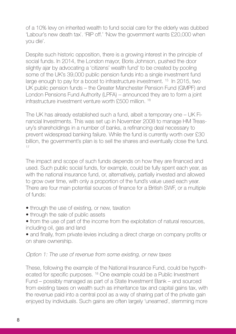of a 10% levy on inherited wealth to fund social care for the elderly was dubbed 'Labour's new death tax`. 'RIP off.' 'Now the government wants £20,000 when you die'.

Despite such historic opposition, there is a growing interest in the principle of social funds. In 2014, the London mayor, Boris Johnson, pushed the door slightly ajar by advocating a 'citizens' wealth fund' to be created by pooling some of the UK's 39,000 public pension funds into a single investment fund large enough to pay for a boost to infrastructure investment. <sup>15</sup> In 2015, two UK public pension funds – the Greater Manchester Pension Fund (GMPF) and London Pensions Fund Authority (LPFA) – announced they are to form a joint infrastructure investment venture worth £500 million. 16

The UK has already established such a fund, albeit a temporary one – UK Financial Investments. This was set up in November 2008 to manage HM Treasury's shareholdings in a number of banks, a refinancing deal necessary to prevent widespread banking failure. While the fund is currently worth over £30 billion, the government's plan is to sell the shares and eventually close the fund. 17

The impact and scope of such funds depends on how they are financed and used. Such public social funds, for example, could be fully spent each year, as with the national insurance fund, or, alternatively, partially invested and allowed to grow over time, with only a proportion of the fund's value used each year. There are four main potential sources of finance for a British SWF, or a multiple of funds:

- through the use of existing, or new, taxation
- through the sale of public assets

• from the use of part of the income from the exploitation of natural resources, including oil, gas and land

• and finally, from private levies including a direct charge on company profits or on share ownership.

#### Option 1: The use of revenue from some existing, or new taxes

These, following the example of the National Insurance Fund, could be hypothecated for specific purposes. 18 One example could be a Public Investment Fund – possibly managed as part of a State Investment Bank – and sourced from existing taxes on wealth such as inheritance tax and capital gains tax, with the revenue paid into a central pool as a way of sharing part of the private gain enjoyed by individuals. Such gains are often largely 'unearned`, stemming more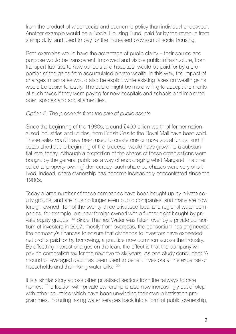from the product of wider social and economic policy than individual endeavour. Another example would be a Social Housing Fund, paid for by the revenue from stamp duty, and used to pay for the increased provision of social housing.

Both examples would have the advantage of public clarity – their source and purpose would be transparent. Improved and visible public infrastructure, from transport facilities to new schools and hospitals, would be paid for by a proportion of the gains from accumulated private wealth. In this way, the impact of changes in tax rates would also be explicit while existing taxes on wealth gains would be easier to justify. The public might be more willing to accept the merits of such taxes if they were paying for new hospitals and schools and improved open spaces and social amenities.

#### Option 2: The proceeds from the sale of public assets

Since the beginning of the 1980s, around £400 billion worth of former nationalised industries and utilities, from British Gas to the Royal Mail have been sold. These sales could have been used to create one or more social funds, and if established at the beginning of the process, would have grown to a substantial level today. Although a proportion of the shares of these organisations were bought by the general public as a way of encouraging what Margaret Thatcher called a 'property owning` democracy, such share purchases were very shortlived. Indeed, share ownership has become increasingly concentrated since the 1980s.

Today a large number of these companies have been bought up by private equity groups, and are thus no longer even public companies, and many are now foreign-owned. Ten of the twenty-three privatised local and regional water companies, for example, are now foreign owned with a further eight bought by private equity groups. 19 Since Thames Water was taken over by a private consortium of investors in 2007, mostly from overseas, the consortium has engineered the company's finances to ensure that dividends to investors have exceeded net profits paid for by borrowing, a practice now common across the industry. By offsetting interest charges on the loan, the effect is that the company will pay no corporation tax for the next five to six years. As one study concluded: 'A mound of leveraged debt has been used to benefit investors at the expense of households and their rising water bills.' 20

It is a similar story across other privatised sectors from the railways to care homes. The fixation with private ownership is also now increasingly out of step with other countries which have been unwinding their own privatisation programmes, including taking water services back into a form of public ownership,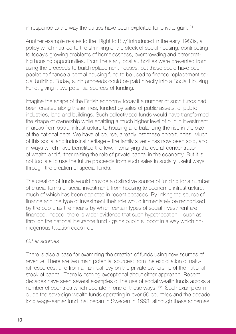in response to the way the utilities have been exploited for private gain. 21

Another example relates to the 'Right to Buy` introduced in the early 1980s, a policy which has led to the shrinking of the stock of social housing, contributing to today's growing problems of homelessness, overcrowding and deteriorating housing opportunities. From the start, local authorities were prevented from using the proceeds to build replacement houses, but these could have been pooled to finance a central housing fund to be used to finance replacement social building. Today, such proceeds could be paid directly into a Social Housing Fund, giving it two potential sources of funding.

Imagine the shape of the British economy today if a number of such funds had been created along these lines, funded by sales of public assets, of public industries, land and buildings. Such collectivised funds would have transformed the shape of ownership while enabling a much higher level of public investment in areas from social infrastructure to housing and balancing the rise in the size of the national debt. We have of course, already lost these opportunities. Much of this social and industrial heritage – the family silver - has now been sold, and in ways which have benefited the few, intensifying the overall concentration of wealth and further raising the role of private capital in the economy. But it is not too late to use the future proceeds from such sales in socially useful ways through the creation of special funds.

The creation of funds would provide a distinctive source of funding for a number of crucial forms of social investment, from housing to economic infrastructure, much of which has been depleted in recent decades. By linking the source of finance and the type of investment their role would immediately be recognised by the public as the means by which certain types of social investment are financed. Indeed, there is wider evidence that such hypothecation – such as through the national insurance fund - gains public support in a way which homogenous taxation does not.

#### Other sources

There is also a case for examining the creation of funds using new sources of revenue. There are two main potential sources: from the exploitation of natural resources, and from an annual levy on the private ownership of the national stock of capital. There is nothing exceptional about either approach. Recent decades have seen several examples of the use of social wealth funds across a number of countries which operate in one of these ways. <sup>22</sup> Such examples include the sovereign wealth funds operating in over 50 countries and the decade long wage-earner fund that began in Sweden in 1993, although these schemes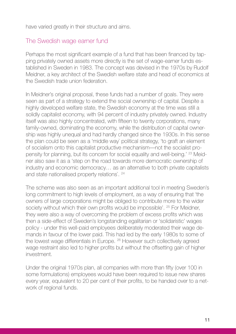have varied greatly in their structure and aims.

#### The Swedish wage earner fund

Perhaps the most significant example of a fund that has been financed by tapping privately owned assets more directly is the set of wage-earner funds established in Sweden in 1983. The concept was devised in the 1970s by Rudolf Meidner, a key architect of the Swedish welfare state and head of economics at the Swedish trade union federation.

In Meidner's original proposal, these funds had a number of goals. They were seen as part of a strategy to extend the social ownership of capital. Despite a highly developed welfare state, the Swedish economy at the time was still a solidly capitalist economy, with 94 percent of industry privately owned. Industry itself was also highly concentrated, with fifteen to twenty corporations, many family-owned, dominating the economy, while the distribution of capital ownership was highly unequal and had hardly changed since the 1930s. In this sense the plan could be seen as a 'middle way` political strategy, 'to graft an element of socialism onto this capitalist productive mechanism—not the socialist propensity for planning, but its concern for social equality and well-being.' 23 Meidner also saw it as a 'step on the road towards more democratic ownership of industry and economic democracy… as an alternative to both private capitalists and state nationalised property relations`. 24

The scheme was also seen as an important additional tool in meeting Sweden's long commitment to high levels of employment, as a way of ensuring that 'the owners of large corporations might be obliged to contribute more to the wider society without which their own profits would be impossible'. <sup>25</sup> For Meidner, they were also a way of overcoming the problem of excess profits which was then a side-effect of Sweden's longstanding egalitarian or 'solidaristic' wages policy - under this well-paid employees deliberately moderated their wage demands in favour of the lower paid. This had led by the early 1980s to some of the lowest wage differentials in Europe. <sup>26</sup> However such collectively agreed wage restraint also led to higher profits but without the offsetting gain of higher investment.

Under the original 1970s plan, all companies with more than fifty (over 100 in some formulations) employees would have been required to issue new shares every year, equivalent to 20 per cent of their profits, to be handed over to a network of regional funds.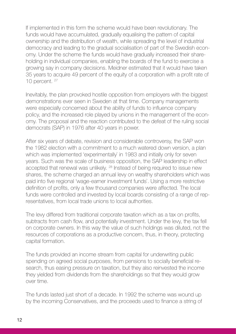If implemented in this form the scheme would have been revolutionary. The funds would have accumulated, gradually equalising the pattern of capital ownership and the distribution of wealth, while spreading the level of industrial democracy and leading to the gradual socialisation of part of the Swedish economy. Under the scheme the funds would have gradually increased their shareholding in individual companies, enabling the boards of the fund to exercise a growing say in company decisions. Meidner estimated that it would have taken 35 years to acquire 49 percent of the equity of a corporation with a profit rate of 10 percent. <sup>27</sup>

Inevitably, the plan provoked hostile opposition from employers with the biggest demonstrations ever seen in Sweden at that time. Company managements were especially concerned about the ability of funds to influence company policy, and the increased role played by unions in the management of the economy. The proposal and the reaction contributed to the defeat of the ruling social democrats (SAP) in 1976 after 40 years in power.

After six years of debate, revision and considerable controversy, the SAP won the 1982 election with a commitment to a much watered down version, a plan which was implemented 'experimentally' in 1983 and initially only for seven years. Such was the scale of business opposition, the SAP leadership in effect accepted that renewal was unlikely. <sup>28</sup> Instead of being required to issue new shares, the scheme charged an annual levy on wealthy shareholders which was paid into five regional 'wage-earner investment funds`. Using a more restrictive definition of profits, only a few thousand companies were affected. The local funds were controlled and invested by local boards consisting of a range of representatives, from local trade unions to local authorities.

The levy differed from traditional corporate taxation which as a tax on profits, subtracts from cash flow, and potentially investment. Under the levy, the tax fell on corporate owners. In this way the value of such holdings was diluted, not the resources of corporations as a productive concern, thus, in theory, protecting capital formation.

The funds provided an income stream from capital for underwriting public spending on agreed social purposes, from pensions to socially beneficial research, thus easing pressure on taxation, but they also reinvested the income they yielded from dividends from the shareholdings so that they would grow over time.

The funds lasted just short of a decade. In 1992 the scheme was wound up by the incoming Conservatives, and the proceeds used to finance a string of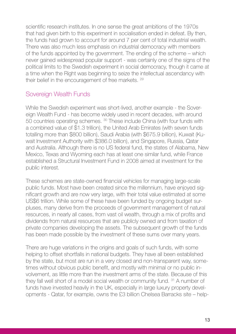scientific research institutes. In one sense the great ambitions of the 1970s that had given birth to this experiment in socialisation ended in defeat. By then, the funds had grown to account for around 7 per cent of total industrial wealth. There was also much less emphasis on industrial democracy with members of the funds appointed by the government. The ending of the scheme – which never gained widespread popular support - was certainly one of the signs of the political limits to the Swedish experiment in social democracy, though it came at a time when the Right was beginning to seize the intellectual ascendancy with their belief in the encouragement of free markets. 29

#### Sovereign Wealth Funds

While the Swedish experiment was short-lived, another example - the Sovereign Wealth Fund - has become widely used in recent decades, with around 50 countries operating schemes. 30 These include China (with four funds with a combined value of \$1.3 trillion), the United Arab Emirates (with seven funds totalling more than \$800 billion), Saudi Arabia (with \$675.9 billion), Kuwait (Kuwait Investment Authority with \$386.0 billion), and Singapore, Russia, Qatar and Australia. Although there is no US federal fund, the states of Alabama, New Mexico, Texas and Wyoming each has at least one similar fund, while France established a Structural Investment Fund in 2008 aimed at investment for the public interest.

These schemes are state-owned financial vehicles for managing large-scale public funds. Most have been created since the millennium, have enjoyed significant growth and are now very large, with their total value estimated at some US\$6 trillion. While some of these have been funded by ongoing budget surpluses, many derive from the proceeds of government management of natural resources, in nearly all cases, from vast oil wealth, through a mix of profits and dividends from natural resources that are publicly owned and from taxation of private companies developing the assets. The subsequent growth of the funds has been made possible by the investment of these sums over many years.

There are huge variations in the origins and goals of such funds, with some helping to offset shortfalls in national budgets. They have all been established by the state, but most are run in a very closed and non-transparent way, sometimes without obvious public benefit, and mostly with minimal or no public involvement, as little more than the investment arms of the state. Because of this they fall well short of a model social wealth or community fund. 31 A number of funds have invested heavily in the UK, especially in large luxury property developments - Qatar, for example, owns the £3 billion Chelsea Barracks site – help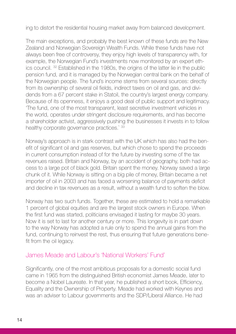ing to distort the residential housing market away from balanced development.

The main exceptions, and probably the best known of these funds are the New Zealand and Norwegian Sovereign Wealth Funds. While these funds have not always been free of controversy, they enjoy high levels of transparency with, for example, the Norwegian Fund's investments now monitored by an expert ethics council. 32 Established in the 1980s, the origins of the latter lie in the public pension fund, and it is managed by the Norwegian central bank on the behalf of the Norwegian people. The fund's income stems from several sources: directly from its ownership of several oil fields, indirect taxes on oil and gas, and dividends from a 67 percent stake in Statoil, the country's largest energy company. Because of its openness, it enjoys a good deal of public support and legitimacy. 'The fund, one of the most transparent, least secretive investment vehicles in the world, operates under stringent disclosure requirements, and has become a shareholder activist, aggressively pushing the businesses it invests in to follow healthy corporate governance practices.<sup>33</sup>

Norway's approach is in stark contrast with the UK which has also had the benefit of significant oil and gas reserves, but which chose to spend the proceeds in current consumption instead of for the future by investing some of the tax revenues raised. Britain and Norway, by an accident of geography, both had access to a large pot of black gold. Britain spent the money. Norway saved a large chunk of it. While Norway is sitting on a big pile of money, Britain became a net importer of oil in 2003 and has faced a worsening balance of payments deficit and decline in tax revenues as a result, without a wealth fund to soften the blow.

Norway has two such funds. Together, these are estimated to hold a remarkable 1 percent of global equities and are the largest stock owners in Europe. When the first fund was started, politicians envisaged it lasting for maybe 30 years. Now it is set to last for another century or more. This longevity is in part down to the way Norway has adopted a rule only to spend the annual gains from the fund, continuing to reinvest the rest, thus ensuring that future generations benefit from the oil legacy.

#### James Meade and Labour's 'National Workers' Fund'

Significantly, one of the most ambitious proposals for a domestic social fund came in 1965 from the distinguished British economist James Meade, later to become a Nobel Laureate. In that year, he published a short book, Efficiency, Equality and the Ownership of Property. Meade had worked with Keynes and was an adviser to Labour governments and the SDP/Liberal Alliance. He had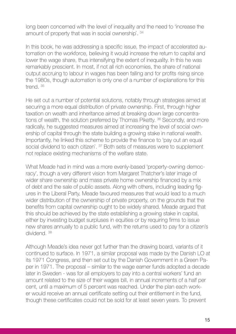long been concerned with the level of inequality and the need to 'increase the amount of property that was in social ownership`. 34

In this book, he was addressing a specific issue, the impact of accelerated automation on the workforce, believing it would increase the return to capital and lower the wage share, thus intensifying the extent of inequality. In this he was remarkably prescient. In most, if not all rich economies, the share of national output accruing to labour in wages has been falling and for profits rising since the 1980s, though automation is only one of a number of explanations for this trend. 35

He set out a number of potential solutions, notably through strategies aimed at securing a more equal distribution of private ownership. First, through higher taxation on wealth and inheritance aimed at breaking down large concentrations of wealth, the solution preferred by Thomas Piketty. <sup>36</sup> Secondly, and more radically, he suggested measures aimed at increasing the level of social ownership of capital through the state building a growing stake in national wealth. Importantly, he linked this scheme to provide the finance to 'pay out an equal social dividend to each citizen<sup>2</sup>.<sup>37</sup> Both sets of measures were to supplement not replace existing mechanisms of the welfare state.

What Meade had in mind was a more evenly-based 'property-owning democracy', though a very different vision from Margaret Thatcher's later image of wider share ownership and mass private home ownership financed by a mix of debt and the sale of public assets. Along with others, including leading figures in the Liberal Party, Meade favoured measures that would lead to a much wider distribution of the ownership of private property, on the grounds that the benefits from capital ownership ought to be widely shared. Meade argued that this should be achieved by the state establishing a growing stake in capital, either by investing budget surpluses in equities or by requiring firms to issue new shares annually to a public fund, with the returns used to pay for a citizen's dividend. 38

Although Meade's idea never got further than the drawing board, variants of it continued to surface. In 1971, a similar proposal was made by the Danish LO at its 1971 Congress, and then set out by the Danish Government in a Green Paper in 1971. The proposal – similar to the wage earner funds adopted a decade later in Sweden - was for all employers to pay into a central workers' fund an amount related to the size of their wages bill, in annual increments of a half per cent, until a maximum of 5 percent was reached. Under the plan each worker would receive an annual certificate setting out their entitlement in the fund, though these certificates could not be sold for at least seven years. To prevent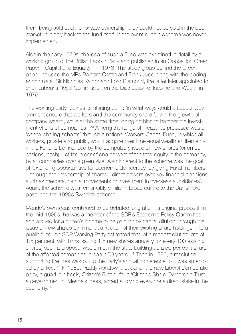them being sold back for private ownership, they could not be sold in the open market, but only back to the fund itself. In the event such a scheme was never implemented.

Also in the early 1970s, the idea of such a Fund was examined in detail by a working group of the British Labour Party and published in an Opposition Green Paper – Capital and Equality – in 1973. The study group behind the Green paper included the MPs Barbara Castle and Frank Judd along with the leading economists, Sir Nicholas Kaldor and Lord Diamond, the latter later appointed to chair Labour's Royal Commission on the Distribution of Income and Wealth in 1975.

The working party took as its starting point: 'in what ways could a Labour Government ensure that workers and the community share fully in the growth of company wealth, while at the same time, doing nothing to hamper the investment efforts of companies.' <sup>39</sup> Among the range of measures proposed was a 'capital sharing scheme` through a national Workers Capital Fund, in which all workers, private and public, would acquire over time equal wealth entitlements in the Fund to be financed by the compulsory issue of new shares (or on occasions, cash) – of the order of one percent of the total equity in the company, by all companies over a given size. Also inherent to the scheme was the goal of 'extending opportunities for economic democracy, by giving Fund members – through their ownership of shares - direct powers over key financial decisions such as mergers, capital movements or investment in overseas subsidiaries<sup>'</sup>.<sup>40</sup> Again, the scheme was remarkably similar in broad outline to the Danish proposal and the 1980s Swedish scheme.

Meade's own ideas continued to be debated long after his original proposal. In the mid-1980s, he was a member of the SDP's Economic Policy Committee, and argued for a citizen's income to be paid for by capital dilution, through the issue of new shares by firms, at a fraction of their existing share holdings, into a public fund. An SDP Working Party estimated that, at a modest dilution rate of 1.5 per cent, with firms issuing 1.5 new shares annually for every 100 existing shares) such a proposal would mean the state building up a 50 per cent share of the affected companies in about 50 years. 41 Then in 1986, a resolution supporting the idea was put to the Party's annual conference, but was amended by critics. 42 In 1989, Paddy Ashdown, leader of the new Liberal Democratic party, argued in a book, Citizen's Britain, for a 'Citizen's Share Ownership Trust`, a development of Meade's ideas, aimed at giving everyone a direct stake in the economy. 43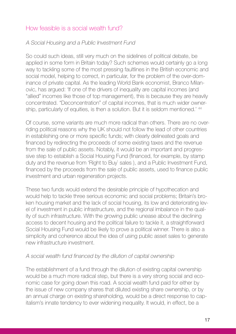#### How feasible is a social wealth fund?

#### A Social Housing and a Public Investment Fund

So could such ideas, still very much on the sidelines of political debate, be applied in some form in Britain today? Such schemes would certainly go a long way to tackling some of the most pressing faultlines in the British economic and social model, helping to correct, in particular, for the problem of the over-dominance of private capital. As the leading World Bank economist, Branco Milanovic, has argued: 'If one of the drivers of inequality are capital incomes (and "allied" incomes like those of top management), this is because they are heavily concentrated. "Deconcentration" of capital incomes, that is much wider ownership, particularly of equities, is then a solution. But it is seldom mentioned.' <sup>44</sup>

Of course, some variants are much more radical than others. There are no overriding political reasons why the UK should not follow the lead of other countries in establishing one or more specific funds; with clearly delineated goals and financed by redirecting the proceeds of some existing taxes and the revenue from the sale of public assets. Notably, it would be an important and progressive step to establish a Social Housing Fund (financed, for example, by stamp duty and the revenue from 'Right to Buy` sales ), and a Public Investment Fund, financed by the proceeds from the sale of public assets, used to finance public investment and urban regeneration projects.

These two funds would extend the desirable principle of hypothecation and would help to tackle three serious economic and social problems; Britain's broken housing market and the lack of social housing, its low and deteriorating level of investment in public infrastructure, and the regional imbalance in the quality of such infrastructure. With the growing public unease about the declining access to decent housing and the political failure to tackle it, a straightforward Social Housing Fund would be likely to prove a political winner. There is also a simplicity and coherence about the idea of using public asset sales to generate new infrastructure investment.

#### A social wealth fund financed by the dilution of capital ownership

The establishment of a fund through the dilution of existing capital ownership would be a much more radical step, but there is a very strong social and economic case for going down this road. A social wealth fund paid for either by the issue of new company shares that diluted existing share ownership, or by an annual charge on existing shareholding, would be a direct response to capitalism's innate tendency to ever widening inequality. It would, in effect, be a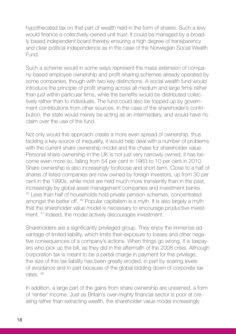hypothecated tax on that part of wealth held in the form of shares. Such a levy would finance a collectively-owned unit trust. It could be managed by a broadly based independent board thereby ensuring a high degree of transparency and clear political independence as in the case of the Norwegian Social Wealth Fund.

Such a scheme would in some ways represent the mass extension of company-based employee ownership and profit-sharing schemes already operated by some companies, though with two key distinctions. A social wealth fund would introduce the principle of profit sharing across all medium and large firms rather than just within particular firms, while the benefits would be distributed collectively rather than to individuals. The fund could also be topped up by government contributions from other sources. In the case of the shareholder's contribution, the state would merely be acting as an intermediary, and would have no claim over the use of the fund.

Not only would this approach create a more even spread of ownership, thus tackling a key source of inequality, it would help deal with a number of problems with the current share ownership model and the chase for shareholder value. Personal share ownership in the UK is not just very narrowly owned, it has become even more so, falling from 54 per cent in 1963 to 10 per cent in 2010. Share ownership is also increasingly footloose and short-term. Close to a half of shares of listed companies are now owned by foreign investors, up from 30 per cent in the 1990s, while most are held much more transiently than in the past, increasingly by global asset management companies and investment banks. 45 Less than half of households hold private pension schemes, concentrated amongst the better off. 46 Popular capitalism is a myth. It is also largely a myth that the shareholder value model is necessary to encourage productive investment. 47 Indeed, the model actively discourages investment.

Shareholders are a significantly privileged group. They enjoy the immense advantage of limited liability, which limits their exposure to losses and other negative consequences of a company's actions. When things go wrong, it is taxpayers who pick up the bill, as they did in the aftermath of the 2008 crisis. Although corporation tax is meant to be a partial charge in payment for this privilege, the size of this tax liability has been greatly eroded, in part by soaring levels of avoidance and in part because of the global bidding down of corporate tax rates. 48

In addition, a large part of the gains from share ownership are unearned, a form of 'rentier' income. Just as Britain's over-mighty financial sector is poor at creating rather than extracting wealth, the shareholder value model increasingly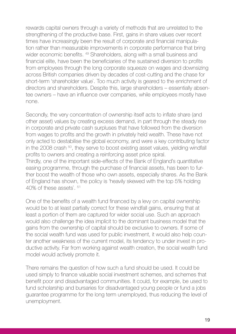rewards capital owners through a variety of methods that are unrelated to the strengthening of the productive base. First, gains in share values over recent times have increasingly been the result of corporate and financial manipulation rather than measurable improvements in corporate performance that bring wider economic benefits. <sup>49</sup> Shareholders, along with a small business and financial elite, have been the beneficiaries of the sustained diversion to profits from employees through the long corporate squeeze on wages and downsizing across British companies driven by decades of cost-cutting and the chase for short-term 'shareholder value`. Too much activity is geared to the enrichment of directors and shareholders. Despite this, large shareholders – essentially absentee owners – have an influence over companies, while employees mostly have none.

Secondly, the very concentration of ownership itself acts to inflate share (and other asset) values by creating excess demand, in part through the steady rise in corporate and private cash surpluses that have followed from the diversion from wages to profits and the growth in privately held wealth. These have not only acted to destabilise the global economy, and were a key contributing factor in the 2008 crash <sup>50</sup>, they serve to boost existing asset values, yielding windfall profits to owners and creating a reinforcing asset price spiral. Thirdly, one of the important side-effects of the Bank of England's quantitative easing programme, through the purchase of financial assets, has been to further boost the wealth of those who own assets, especially shares. As the Bank of England has shown, the policy is 'heavily skewed with the top 5% holding 40% of these assets`. 51

One of the benefits of a wealth fund financed by a levy on capital ownership would be to at least partially correct for these windfall gains, ensuring that at least a portion of them are captured for wider social use. Such an approach would also challenge the idea implicit to the dominant business model that the gains from the ownership of capital should be exclusive to owners. If some of the social wealth fund was used for public investment, it would also help counter another weakness of the current model, its tendency to under invest in productive activity. Far from working against wealth creation, the social wealth fund model would actively promote it.

There remains the question of how such a fund should be used. It could be used simply to finance valuable social investment schemes, and schemes that benefit poor and disadvantaged communities. It could, for example, be used to fund scholarship and bursaries for disadvantaged young people or fund a jobs guarantee programme for the long term unemployed, thus reducing the level of unemployment.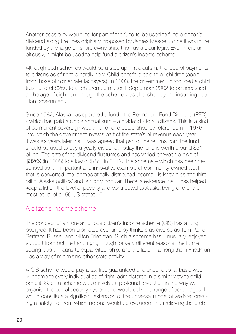Another possibility would be for part of the fund to be used to fund a citizen's dividend along the lines originally proposed by James Meade. Since it would be funded by a charge on share ownership, this has a clear logic. Even more ambitiously, it might be used to help fund a citizen's income scheme.

Although both schemes would be a step up in radicalism, the idea of payments to citizens as of right is hardly new. Child benefit is paid to all children (apart from those of higher rate taxpayers). In 2003, the government introduced a child trust fund of £250 to all children born after 1 September 2002 to be accessed at the age of eighteen, though the scheme was abolished by the incoming coalition government.

Since 1982, Alaska has operated a fund - the Permanent Fund Dividend (PFD) - which has paid a single annual sum – a dividend - to all citizens. This is a kind of permanent sovereign wealth fund, one established by referendum in 1976, into which the government invests part of the state's oil revenue each year. It was six years later that it was agreed that part of the returns from the fund should be used to pay a yearly dividend. Today the fund is worth around \$51 billion. The size of the dividend fluctuates and has varied between a high of \$3269 (in 2008) to a low of \$878 in 2012. The scheme – which has been described as 'an important and innovative example of community-owned wealth' that is converted into 'democratically distributed income'- is known as 'the third rail of Alaska politics` and is highly popular. There is evidence that it has helped keep a lid on the level of poverty and contributed to Alaska being one of the most equal of all 50 US states. 52

#### A citizen's income scheme

The concept of a more ambitious citizen's income scheme (CIS) has a long pedigree. It has been promoted over time by thinkers as diverse as Tom Paine, Bertrand Russell and Milton Friedman. Such a scheme has, unusually, enjoyed support from both left and right, though for very different reasons, the former seeing it as a means to equal citizenship, and the latter – among them Friedman - as a way of minimising other state activity.

A CIS scheme would pay a tax-free guaranteed and unconditional basic weekly income to every individual as of right, administered in a similar way to child benefit. Such a scheme would involve a profound revolution in the way we organise the social security system and would deliver a range of advantages. It would constitute a significant extension of the universal model of welfare, creating a safety net from which no-one would be excluded, thus relieving the prob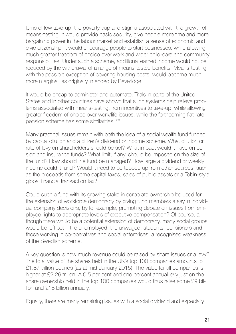lems of low take-up, the poverty trap and stigma associated with the growth of means-testing. It would provide basic security, give people more time and more bargaining power in the labour market and establish a sense of economic and civic citizenship. It would encourage people to start businesses, while allowing much greater freedom of choice over work and wider child-care and community responsibilities. Under such a scheme, additional earned income would not be reduced by the withdrawal of a range of means-tested benefits. Means-testing, with the possible exception of covering housing costs, would become much more marginal, as originally intended by Beveridge.

It would be cheap to administer and automate. Trials in parts of the United States and in other countries have shown that such systems help relieve problems associated with means-testing, from incentives to take-up, while allowing greater freedom of choice over work/life issues, while the forthcoming flat-rate pension scheme has some similarities. 53

Many practical issues remain with both the idea of a social wealth fund funded by capital dilution and a citizen's dividend or income scheme. What dilution or rate of levy on shareholders should be set? What impact would it have on pension and insurance funds? What limit, if any, should be imposed on the size of the fund? How should the fund be managed? How large a dividend or weekly income could it fund? Would it need to be topped up from other sources, such as the proceeds from some capital taxes, sales of public assets or a Tobin-style global financial transaction tax?

Could such a fund with its growing stake in corporate ownership be used for the extension of workforce democracy by giving fund members a say in individual company decisions, by for example, promoting debate on issues from employee rights to appropriate levels of executive compensation? Of course, although there would be a potential extension of democracy, many social groups would be left out – the unemployed, the unwaged, students, pensioners and those working in co-operatives and social enterprises, a recognised weakness of the Swedish scheme.

A key question is how much revenue could be raised by share issues or a levy? The total value of the shares held in the UK's top 100 companies amounts to £1.87 trillion pounds (as at mid-January 2015). The value for all companies is higher at £2.26 trillion. A 0.5 per cent and one percent annual levy just on the share ownership held in the top 100 companies would thus raise some £9 billion and £18 billion annually.

Equally, there are many remaining issues with a social dividend and especially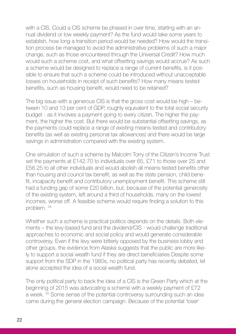with a CIS. Could a CIS scheme be phased in over time, starting with an annual dividend or low weekly payment? As the fund would take some years to establish, how long a transition period would be needed? How would the transition process be managed to avoid the administrative problems of such a major change, such as those encountered through the Universal Credit? How much would such a scheme cost, and what offsetting savings would accrue? As such a scheme would be designed to replace a range of current benefits, is it possible to ensure that such a scheme could be introduced without unacceptable losses on households in receipt of such benefits? How many means tested benefits, such as housing benefit, would need to be retained?

The big issue with a generous CIS is that the gross cost would be high – between 10 and 13 per cent of GDP, roughly equivalent to the total social security budget - as it involves a payment going to every citizen. The higher the payment, the higher the cost. But there would be substantial offsetting savings, as the payments could replace a range of existing means-tested and contributory benefits (as well as existing personal tax allowances) and there would be large savings in administration compared with the existing system.

One simulation of such a scheme by Malcolm Torry of the Citizen's Income Trust set the payments at £142.70 to individuals over 65, £71 to those over 25 and £56.25 to all other individuals and would abolish all means-tested benefits other than housing and council tax benefit, as well as the state pension, child benefit, incapacity benefit and contributory unemployment benefit. This scheme still had a funding gap of some £20 billion, but, because of the potential generosity of the existing system, left around a third of households, many on the lowest incomes, worse off. A feasible scheme would require finding a solution to this problem. 54

Whether such a scheme is practical politics depends on the details. Both elements – the levy-based fund and the dividend/CIS - would challenge traditional approaches to economic and social policy and would generate considerable controversy. Even if the levy were bitterly opposed by the business lobby and other groups, the evidence from Alaska suggests that the public are more likely to support a social wealth fund if they are direct beneficiaries Despite some support from the SDP in the 1980s, no political party has recently debated, let alone accepted the idea of a social wealth fund.

The only political party to back the idea of a CIS is the Green Party which at the beginning of 2015 was advocating a scheme with a weekly payment of £72 a week. 55 Some sense of the potential controversy surrounding such an idea came during the general election campaign. Because of the potential 'loser'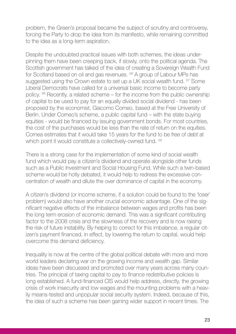problem, the Green's proposal became the subject of scrutiny and controversy, forcing the Party to drop the idea from its manifesto, while remaining committed to the idea as a long-term aspiration.

Despite the undoubted practical issues with both schemes, the ideas underpinning them have been creeping back, if slowly, onto the political agenda. The Scottish government has talked of the idea of creating a Sovereign Wealth Fund for Scotland based on oil and gas revenues. 56 A group of Labour MPs has suggested using the Crown estate to set up a UK social wealth fund. <sup>57</sup> Some Liberal Democrats have called for a universal basic income to become party policy. 58 Recently, a related scheme – for the income from the public ownership of capital to be used to pay for an equally divided social dividend - has been proposed by the economist, Giacomo Corneo, based at the Free University of Berlin. Under Corneo's scheme, a public capital fund – with the state buying equities - would be financed by issuing government bonds. For most countries, the cost of the purchases would be less than the rate of return on the equities. Cornea estimates that it would take 15 years for the fund to be free of debt at which point it would constitute a collectively-owned fund. <sup>59</sup>

There is a strong case for the implementation of some kind of social wealth fund which would pay a citizen's dividend and operate alongside other funds such as a Public Investment and Social Housing Fund. While such a twin-based scheme would be hotly debated, it would help to redress the excessive concentration of wealth and dilute the over dominance of capital in the economy.

A citizen's dividend (or income scheme, if a solution could be found to the 'loser` problem) would also have another crucial economic advantage. One of the significant negative effects of the imbalance between wages and profits has been the long term erosion of economic demand. This was a significant contributing factor to the 2008 crisis and the slowness of the recovery and is now raising the risk of future instability. By helping to correct for this imbalance, a regular citizen's payment financed, in effect, by lowering the return to capital, would help overcome this demand deficiency.

Inequality is now at the centre of the global political debate with more and more world leaders declaring war on the growing income and wealth gap. Similar ideas have been discussed and promoted over many years across many countries. The principal of taxing capital to pay to finance redistributive policies is long established. A fund-financed CIS would help address, directly, the growing crisis of work insecurity and low wages and the mounting problems with a heavily means-tested and unpopular social security system. Indeed, because of this, the idea of such a scheme has been gaining wider support in recent times. The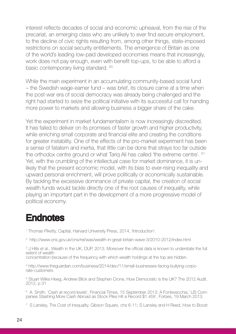interest reflects decades of social and economic upheaval, from the rise of the precariat, an emerging class who are unlikely to ever find secure employment, to the decline of civic rights resulting from, among other things, state-imposed restrictions on social security entitlements. The emergence of Britain as one of the world's leading low-paid developed economies means that increasingly, work does not pay enough, even with benefit top-ups, to be able to afford a basic contemporary living standard. <sup>60</sup>

While the main experiment in an accumulating community-based social fund – the Swedish wage-earner fund – was brief, its closure came at a time when the post-war era of social democracy was already being challenged and the right had started to seize the political initiative with its successful call for handing more power to markets and allowing business a bigger share of the cake.

Yet the experiment in market fundamentalism is now increasingly discredited. It has failed to deliver on its promises of faster growth and higher productivity, while enriching small corporate and financial elite and creating the conditions for greater instability. One of the effects of the pro-market experiment has been a sense of fatalism and inertia, that little can be done that strays too far outside the orthodox centre ground or what Tarig Ali has called 'the extreme centre'. <sup>61</sup> Yet, with the crumbling of the intellectual case for market dominance, it is unlikely that the present economic model, with its bias to ever-rising inequality and upward personal enrichment, will prove politically or economically sustainable. By tackling the excessive dominance of private capital, the creation of social wealth funds would tackle directly one of the root causes of inequality, while playing an important part in the development of a more progressive model of political economy.

### **Endnotes**

<sup>1</sup> Thomas Piketty, Capital, Harvard University Press, 2014, 'Introduction'.

2 http://www.ons.gov.uk/ons/rel/was/wealth-in-great-britain-wave-3/2010-2012/index.html

<sup>3</sup> J Hills et al., Wealth in the UK, OUP, 2013. Moreover the official data is known to understate the full extent of wealth

concentration because of the frequency with which wealth holdings at the top are hidden.

<sup>4</sup> http://www.theguardian.com/business/2014/dec/11/small-businesses-facing-bullying-corpo-<br>rate-customers

<sup>5</sup> Stuart Wilks-Heeg, Andrew Blick and Stephen Crone, How Democratic is the UK? The 2012 Audit, 2012, p 31

6 A. Smith, 'Cash at record levels', Financial Times, 15 September 2013; A Fontevecchia,' US Companies Stashing More Cash Abroad as Stock Piles Hit a Record \$1.45tr`, Forbes, 19 March 2013.

<sup>7</sup> S Lansley, The Cost of Inequality, Gibson Square, chs 6-11; S Lansley and H Reed, How to Boost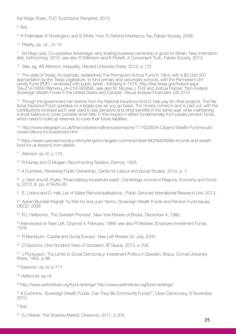the Wage Share, TUC Touchstone Pamphlet, 2013.

8 Ibid

<sup>9</sup> R Prabhakar, K Rowlingson and S White, How To Defend Inheritance Tax, Fabian Society, 2008.

10 Piketty, op. cit., ch 15

11 Ed Mayo (ed), Co-operative Advantage: why sharing business ownership is good for Britain, New Internation- alist, forthcoming, 2015; see also R Wilkinson and K Pickett, A Convenient Truth, Fabian Society, 2013.

<sup>12</sup> See, eg, AB Atkinson, Inequality, Harvard University Press, 2015, p 172

<sup>13</sup> The state of Texas, for example, established The Permanent School Fund in 1854, with a \$2,000,000<br>appropriation by the Texas Legislature, to fund primary and secondary schools, with the Permanent University Fund (PÚF) – endowed with public lands - following in 1876. http://tea.texas.gov/index4.aspx-<br>?id=2147485578&menu\_id=2147483695, see also M. Nicolas J. Firzli and Joshua Franzel: 'Non-Federal Sovereign Wealth Funds in the United States and Canada', Revue Analyse Financière, Q3 2014

<sup>14</sup> Though the government can borrow from the National Insurance fund to help pay for other projects. The Na-<br>tional Insurance Fund operates on a largely pay-as-you-go basis. The money comes in and is paid out, with the contributions received each year used to pay pensions and other benefits in the same year, while maintaining a small balance to cover possible short-falls. In this respect it differs fundamentally from private pension funds, which need to build up reserves to cover their future liabilities.

15 http://www.telegraph.co.uk/finance/personalfinance/pensions/11142293/A-Citizens-Wealth-Fund-wouldcreate-billions-for-investment.html

16 https://www.opendemocracy.net/ourkingdom/angela-cummine/citizen%E2%80%99s-income-and-wealthfund-for-uk-lessons-from-alaska

17 Atkinson op cit, p 175.

<sup>18</sup> R Murray and G Mulgan, Reconnecting Taxation, Demos, 1993.

19 A Cumbers, Renewing Public Ownership, Centre for Labour and Social Studies, 2014, p. 7.

<sup>20</sup> J. Allen and M. Pryke, 'Financialising household water`, Cambridge Journal of Regions, Economy and Society, 2013, 6, pp. 419<N>39.

<sup>21</sup> E. Lobina and D. Hall, List of Water Remunicipalisations, Public Services International Research Unit, 2013.

<sup>22</sup> Adrian Blundell-Wignall, Yu-Wei Hu and Juan Yermo, Sovereign Wealth Funds and Pension Fund Issues, OECD, 2008

<sup>23</sup> R L Heilbroner, 'The Swedish Promise', New York Review of Books, December 4, 1980.

<sup>24</sup> Interviewed on Next Left, Channel 4, February, 1989; see also R Meidner, Employee Investment Funds, 1978.

<sup>25</sup> R Blackburn, 'Capital and Social Europe', New Left Review 34, July, 2005

26 D Sassoon, One Hundred Years of Socialism, IB Taurus, 2013, p 708.

<sup>27</sup> J Pontusson, The Limits to Social Democracy: Investment Politics in Sweden, Ithaca, Cornell University Press, 1992, p 98

<sup>28</sup> Sassoon, op cit, p 711

29 Heilbroner, op cit

30 http://www.swfinstitute.org/fund-rankings/ http://www.swfinstitute.org/fund-rankings/

<sup>31</sup> A Cummine, 'Sovereign Wealth Funds: Can They Be Community Funds?', Open Democracy, 6 November 2013.

<sup>32</sup> Ibid.

33 EJ Weiner, The Shadow Market, Oneworld, 2011, p 205.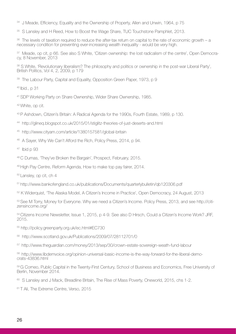<sup>34</sup> J Meade, Efficiency, Equality and the Ownership of Property, Allen and Unwin, 1964, p 75

35 S Lansley and H Reed, How to Boost the Wage Share, TUC Touchstone Pamphlet, 2013.

 $36$  The levels of taxation required to reduce the after-tax return on capital to the rate of economic growth – a necessary condition for preventing ever-increasing wealth inequality - would be very high.

<sup>37</sup> Meade, op cit, p 66. See also S White, 'Citizen ownership: the lost radicalism of the centre', Open Democra-<br>cv. 8 November, 2013

38 S White, 'Revolutionary liberalism? The philosophy and politics or ownership in the post-war Liberal Party', British Politics, Vol 4, 2, 2009, p 179

<sup>39</sup> The Labour Party, Capital and Equality, Opposition Green Paper, 1973, p 9

40 Ibid., p 31

41 SDP Working Party on Share Ownership, Wider Share Ownership, 1985.

42 White, op cit.

- 43 P Ashdown, Citizen's Britain: A Radical Agenda for the 1990s, Fourth Estate, 1989, p 130.
- 44 http://glineq.blogspot.co.uk/2015/01/stiglitz-theories-of-just-deserts-and.html
- 45 http://www.cityam.com/article/1380157581/global-britain
- 46 A Sayer, Why We Can't Afford the Rich, Policy Press, 2014, p 94.

47 Ibid p 93

- 48 C Dumas, 'They've Broken the Bargain', Prospect, February, 2015.
- <sup>49</sup> High Pay Centre, Reform Agenda, How to make top pay fairer, 2014.

<sup>50</sup> Lansley, op cit, ch 4

- 51 http://www.bankofengland.co.uk/publications/Documents/quarterlybulletin/qb120306.pdf
- 52 K Widerquist, 'The Alaska Model, A Citizen's Income in Practice', Open Democracy, 24 August, 2013

53 See M Torry, Money for Everyone. Why we need a Citizen's Income. Policy Press, 2013, and see http://citizensincome.org/

<sup>54</sup> Citizens Income Newsletter, Issue 1, 2015, p 4-9. See also D Hirsch, Could a Citizen's Income Work? JRF, 2015.

- 55 http://policy.greenparty.org.uk/ec.html#EC730
- 56 http://www.scotland.gov.uk/Publications/2009/07/28112701/0
- 57 http://www.theguardian.com/money/2013/sep/30/crown-estate-sovereign-weath-fund-labour

58 http://www.libdemvoice.org/opinion-universal-basic-income-is-the-way-forward-for-the-liberal-demo- crats-43836.html

59 G Corneo, Public Capital in the Twenty-First Century, School of Business and Economics, Free University of Berlin, November 2014.

60 S Lansley and J Mack, Breadline Britain, The Rise of Mass Poverty, Oneworld, 2015, chs 1-2.

<sup>61</sup> T Ali, The Extreme Centre, Verso, 2015